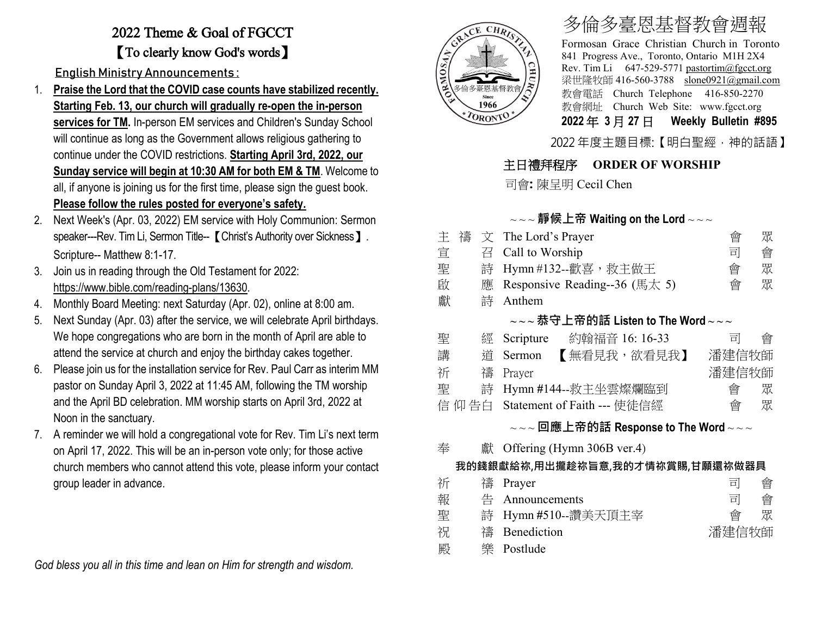# 2022 Theme & Goal of FGCCT 【To clearly know God's words】

English Ministry Announcements :

- 1. **Praise the Lord that the COVID case counts have stabilized recently. Starting Feb. 13, our church will gradually re-open the in-person services for TM.** In-person EM services and Children's Sunday School will continue as long as the Government allows religious gathering to continue under the COVID restrictions. **Starting April 3rd, 2022, our Sunday service will begin at 10:30 AM for both EM & TM**. Welcome to all, if anyone is joining us for the first time, please sign the guest book. **Please follow the rules posted for everyone's safety.**
- 2. Next Week's (Apr. 03, 2022) EM service with Holy Communion: Sermon speaker---Rev. Tim Li, Sermon Title-- 【Christ's Authority over Sickness 】. Scripture-- Matthew 8:1-17.
- 3. Join us in reading through the Old Testament for 2022: [https://www.bible.com/reading-plans/13630.](https://www.bible.com/reading-plans/13630)
- 4. Monthly Board Meeting: next Saturday (Apr. 02), online at 8:00 am.
- 5. Next Sunday (Apr. 03) after the service, we will celebrate April birthdays. We hope congregations who are born in the month of April are able to attend the service at church and enjoy the birthday cakes together.
- 6. Please join us for the installation service for Rev. Paul Carr as interim MM pastor on Sunday April 3, 2022 at 11:45 AM, following the TM worship and the April BD celebration. MM worship starts on April 3rd, 2022 at Noon in the sanctuary.
- 7. A reminder we will hold a congregational vote for Rev. Tim Li's next term on April 17, 2022. This will be an in-person vote only; for those active church members who cannot attend this vote, please inform your contact group leader in advance.

*God bless you all in this time and lean on Him for strength and wisdom.* 



# 多倫多臺恩基督教會週報

Formosan Grace Christian Church in Toronto 841 Progress Ave., Toronto, Ontario M1H 2X4 Rev. Tim Li 647-529-5771 [pastortim@fgcct.org](mailto:pastortim@fgcct.org) 梁世隆牧師 416-560-3788 slone0921@gmail.com 教會電話 Church Telephone 416-850-2270 教會網址 Church Web Site: www.fgcct.org **2022** 年 **3** 月 **27** 日 **Weekly Bulletin #895** 

2022 年度主題目標:【明白聖經,神的話語】

### 主日禮拜程序 **ORDER OF WORSHIP**

司會**:** 陳呈明 Cecil Chen

#### ~ ~ ~ **靜候上帝 Waiting on the Lord** ~ ~ ~

| 丰                                                                                                                                     | 禱<br>文 | The Lord's Prayer                        | 會     | 眾 |  |  |  |  |  |
|---------------------------------------------------------------------------------------------------------------------------------------|--------|------------------------------------------|-------|---|--|--|--|--|--|
| 宣                                                                                                                                     | 召      | Call to Worship                          | 司     | 會 |  |  |  |  |  |
| 聖                                                                                                                                     | 詩      | Hymn #132--歡喜, 救主做王                      | 會     | 眾 |  |  |  |  |  |
| 啟                                                                                                                                     | 應      | Responsive Reading--36 (馬太 5)            | 會     | 眾 |  |  |  |  |  |
| 獻                                                                                                                                     | 詩      | Anthem                                   |       |   |  |  |  |  |  |
| $\scriptstyle\mathtt{\sim}\mathtt{\sim}\mathtt{\sim}$ 恭守上帝的話 Listen to The Word $\scriptstyle\mathtt{\sim}\mathtt{\sim}\mathtt{\sim}$ |        |                                          |       |   |  |  |  |  |  |
| 聖                                                                                                                                     | 經      | Scripture 约翰福音 16: 16-33                 | 킈     | 曾 |  |  |  |  |  |
| 講                                                                                                                                     | 道      | 【無看見我,欲看見我】<br>Sermon                    | 潘建信牧師 |   |  |  |  |  |  |
| 祈                                                                                                                                     | 禱      | Prayer                                   | 潘建信牧師 |   |  |  |  |  |  |
| 聖                                                                                                                                     | 詩      | Hymn #144--救主坐雲燦爛臨到                      | 會     | 眾 |  |  |  |  |  |
|                                                                                                                                       | 信 仰 告白 | Statement of Faith --- 使徒信經              | 會     | 眾 |  |  |  |  |  |
| $\sim$ $\sim$ 回應上帝的話 Response to The Word $\sim$ $\sim$                                                                               |        |                                          |       |   |  |  |  |  |  |
| 奉                                                                                                                                     |        | $\frac{1}{m}$ Offering (Hymn 306B ver.4) |       |   |  |  |  |  |  |
| 我的錢銀獻給祢,用出攏趁祢旨意,我的才情祢賞賜,甘願還祢做器具                                                                                                       |        |                                          |       |   |  |  |  |  |  |
| 祈                                                                                                                                     | 禱      | Prayer                                   | 킈     | 會 |  |  |  |  |  |
| 報                                                                                                                                     | 告      | Announcements                            | 킈     | 會 |  |  |  |  |  |

- 聖 詩 Hymn **#**510--讚美天頂主宰 會 眾 祝 禱 Benediction **beam and higher and higher development and higher and higher and higher and higher and higher**
- 殿 樂 Postlude